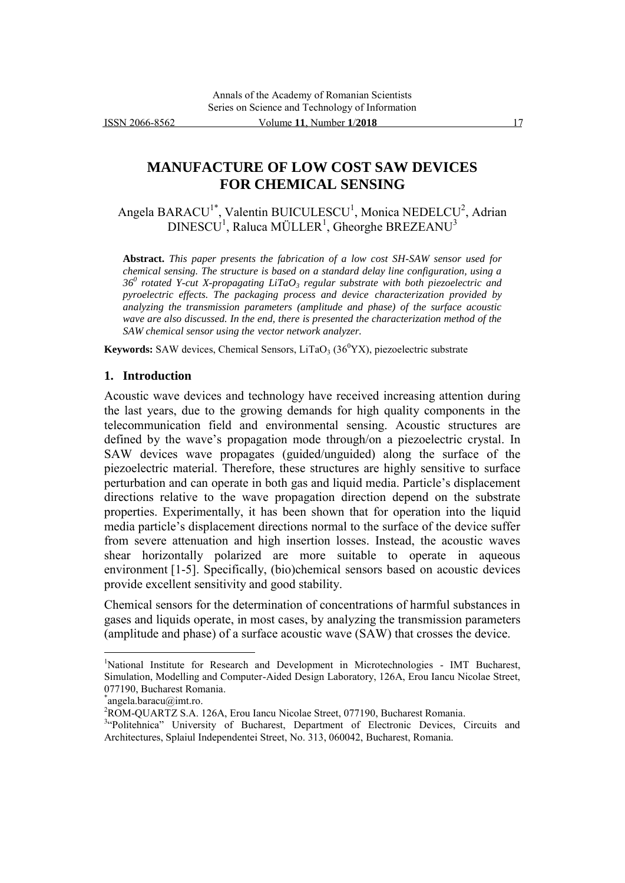# **MANUFACTURE OF LOW COST SAW DEVICES FOR CHEMICAL SENSING**

Angela BARACU<sup>1\*</sup>, Valentin BUICULESCU<sup>1</sup>, Monica NEDELCU<sup>2</sup>, Adrian  $\mathrm{DINESCU}^1$ , Raluca MÜLLER $^1$ , Gheorghe BREZEANU $^3$ 

**Abstract.** *This paper presents the fabrication of a low cost SH-SAW sensor used for chemical sensing. The structure is based on a standard delay line configuration, using a 36<sup>0</sup> rotated Y-cut X-propagating LiTaO3 regular substrate with both piezoelectric and pyroelectric effects. The packaging process and device characterization provided by analyzing the transmission parameters (amplitude and phase) of the surface acoustic wave are also discussed. In the end, there is presented the characterization method of the SAW chemical sensor using the vector network analyzer.* 

**Keywords:** SAW devices, Chemical Sensors, LiTaO<sub>3</sub> ( $36^{\circ}$ YX), piezoelectric substrate

#### **1. Introduction**

Acoustic wave devices and technology have received increasing attention during the last years, due to the growing demands for high quality components in the telecommunication field and environmental sensing. Acoustic structures are defined by the wave's propagation mode through/on a piezoelectric crystal. In SAW devices wave propagates (guided/unguided) along the surface of the piezoelectric material. Therefore, these structures are highly sensitive to surface perturbation and can operate in both gas and liquid media. Particle's displacement directions relative to the wave propagation direction depend on the substrate properties. Experimentally, it has been shown that for operation into the liquid media particle's displacement directions normal to the surface of the device suffer from severe attenuation and high insertion losses. Instead, the acoustic waves shear horizontally polarized are more suitable to operate in aqueous environment [1-5]. Specifically, (bio)chemical sensors based on acoustic devices provide excellent sensitivity and good stability.

Chemical sensors for the determination of concentrations of harmful substances in gases and liquids operate, in most cases, by analyzing the transmission parameters (amplitude and phase) of a surface acoustic wave (SAW) that crosses the device.

 $\overline{a}$ 

<sup>&</sup>lt;sup>1</sup>National Institute for Research and Development in Microtechnologies - IMT Bucharest, Simulation, Modelling and Computer-Aided Design Laboratory, 126A, Erou Iancu Nicolae Street, 077190, Bucharest Romania.

<sup>\*</sup> angela.baracu@imt.ro.

<sup>&</sup>lt;sup>2</sup>ROM-QUARTZ S.A. 126A, Erou Iancu Nicolae Street, 077190, Bucharest Romania.

<sup>&</sup>lt;sup>3</sup>"Politehnica" University of Bucharest, Department of Electronic Devices, Circuits and Architectures, Splaiul Independentei Street, No. 313, 060042, Bucharest, Romania.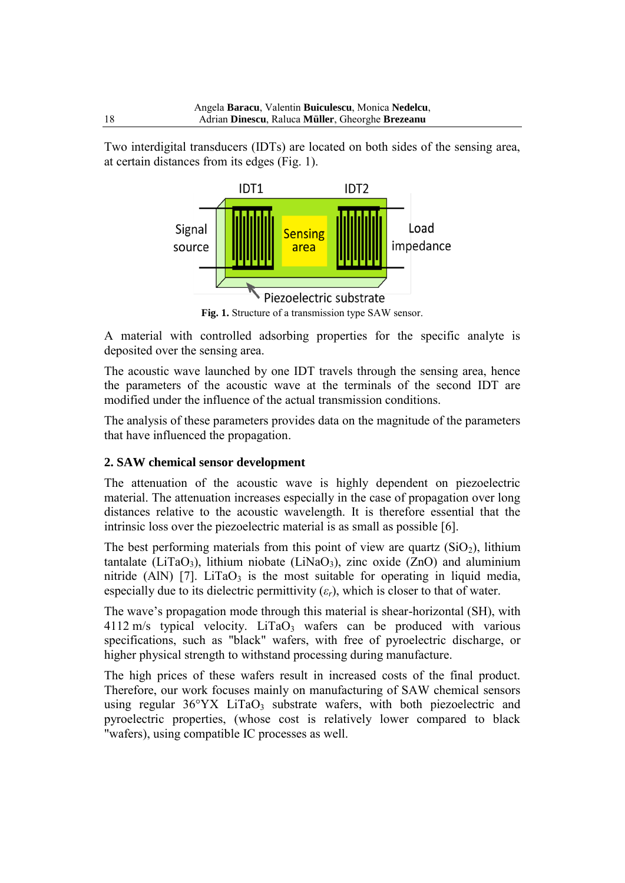Two interdigital transducers (IDTs) are located on both sides of the sensing area, at certain distances from its edges (Fig. 1).



**Fig. 1.** Structure of a transmission type SAW sensor.

A material with controlled adsorbing properties for the specific analyte is deposited over the sensing area.

The acoustic wave launched by one IDT travels through the sensing area, hence the parameters of the acoustic wave at the terminals of the second IDT are modified under the influence of the actual transmission conditions.

The analysis of these parameters provides data on the magnitude of the parameters that have influenced the propagation.

# **2. SAW chemical sensor development**

The attenuation of the acoustic wave is highly dependent on piezoelectric material. The attenuation increases especially in the case of propagation over long distances relative to the acoustic wavelength. It is therefore essential that the intrinsic loss over the piezoelectric material is as small as possible [6].

The best performing materials from this point of view are quartz  $(SiO<sub>2</sub>)$ , lithium tantalate (LiTaO<sub>3</sub>), lithium niobate (LiNaO<sub>3</sub>), zinc oxide (ZnO) and aluminium nitride (AlN) [7]. LiTaO<sub>3</sub> is the most suitable for operating in liquid media, especially due to its dielectric permittivity  $(\varepsilon_r)$ , which is closer to that of water.

The wave's propagation mode through this material is shear-horizontal (SH), with  $4112 \text{ m/s}$  typical velocity. LiTaO<sub>3</sub> wafers can be produced with various specifications, such as "black" wafers, with free of pyroelectric discharge, or higher physical strength to withstand processing during manufacture.

The high prices of these wafers result in increased costs of the final product. Therefore, our work focuses mainly on manufacturing of SAW chemical sensors using regular 36°YX LiTaO<sub>3</sub> substrate wafers, with both piezoelectric and pyroelectric properties, (whose cost is relatively lower compared to black "wafers), using compatible IC processes as well.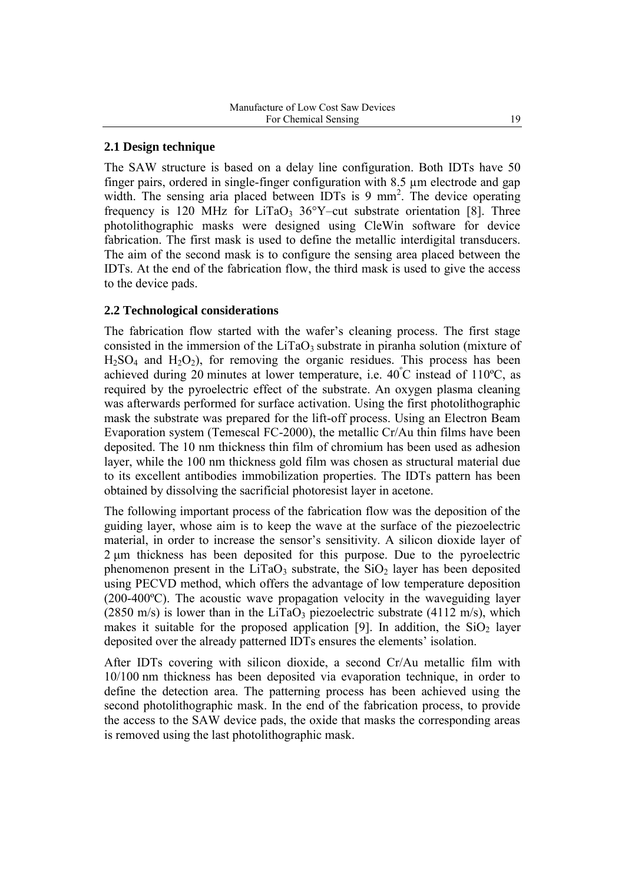### **2.1 Design technique**

The SAW structure is based on a delay line configuration. Both IDTs have 50 finger pairs, ordered in single-finger configuration with 8.5 µm electrode and gap width. The sensing aria placed between IDTs is  $9 \text{ mm}^2$ . The device operating frequency is 120 MHz for LiTaO<sub>3</sub> 36°Y–cut substrate orientation [8]. Three photolithographic masks were designed using CleWin software for device fabrication. The first mask is used to define the metallic interdigital transducers. The aim of the second mask is to configure the sensing area placed between the IDTs. At the end of the fabrication flow, the third mask is used to give the access to the device pads.

### **2.2 Technological considerations**

The fabrication flow started with the wafer's cleaning process. The first stage consisted in the immersion of the  $LiTaO<sub>3</sub>$  substrate in piranha solution (mixture of  $H<sub>2</sub>SO<sub>4</sub>$  and  $H<sub>2</sub>O<sub>2</sub>$ ), for removing the [organic](https://en.wikipedia.org/wiki/Organic_compound) residues. This process has been achieved during 20 minutes at lower temperature, i.e.  $40^{\circ}$ C instead of 110<sup>o</sup>C, as required by the pyroelectric effect of the substrate. An oxygen plasma cleaning was afterwards performed for surface activation. Using the first photolithographic mask the substrate was prepared for the lift-off process. Using an Electron Beam Evaporation system (Temescal FC-2000), the metallic Cr/Au thin films have been deposited. The 10 nm thickness thin film of chromium has been used as adhesion layer, while the 100 nm thickness gold film was chosen as structural material due to its excellent antibodies immobilization properties. The IDTs pattern has been obtained by dissolving the sacrificial photoresist layer in acetone.

The following important process of the fabrication flow was the deposition of the guiding layer, whose aim is to keep the wave at the surface of the piezoelectric material, in order to increase the sensor's sensitivity. A silicon dioxide layer of 2 μm thickness has been deposited for this purpose. Due to the pyroelectric phenomenon present in the LiTaO<sub>3</sub> substrate, the  $SiO<sub>2</sub>$  layer has been deposited using PECVD method, which offers the advantage of low temperature deposition (200-400ºC). The acoustic wave propagation velocity in the waveguiding layer (2850 m/s) is lower than in the LiTaO<sub>3</sub> piezoelectric substrate (4112 m/s), which makes it suitable for the proposed application [9]. In addition, the  $SiO<sub>2</sub>$  layer deposited over the already patterned IDTs ensures the elements' isolation.

After IDTs covering with silicon dioxide, a second Cr/Au metallic film with 10/100 nm thickness has been deposited via evaporation technique, in order to define the detection area. The patterning process has been achieved using the second photolithographic mask. In the end of the fabrication process, to provide the access to the SAW device pads, the oxide that masks the corresponding areas is removed using the last photolithographic mask.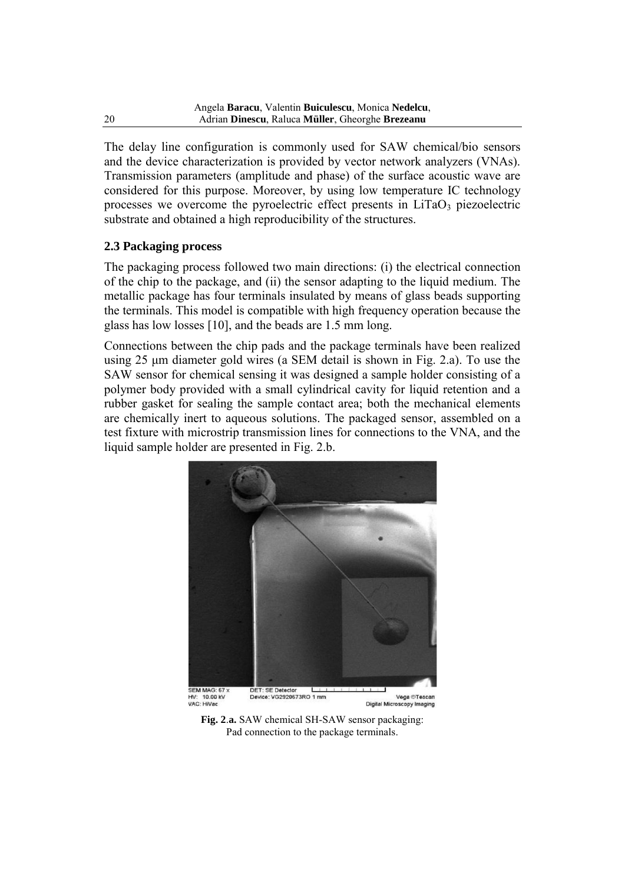The delay line configuration is commonly used for SAW chemical/bio sensors and the device characterization is provided by vector network analyzers (VNAs). Transmission parameters (amplitude and phase) of the surface acoustic wave are considered for this purpose. Moreover, by using low temperature IC technology processes we overcome the pyroelectric effect presents in  $LiTaO<sub>3</sub>$  piezoelectric substrate and obtained a high reproducibility of the structures.

# **2.3 Packaging process**

The packaging process followed two main directions: (i) the electrical connection of the chip to the package, and (ii) the sensor adapting to the liquid medium. The metallic package has four terminals insulated by means of glass beads supporting the terminals. This model is compatible with high frequency operation because the glass has low losses [10], and the beads are 1.5 mm long.

Connections between the chip pads and the package terminals have been realized using 25 μm diameter gold wires (a SEM detail is shown in Fig. 2.a). To use the SAW sensor for chemical sensing it was designed a sample holder consisting of a polymer body provided with a small cylindrical cavity for liquid retention and a rubber gasket for sealing the sample contact area; both the mechanical elements are chemically inert to aqueous solutions. The packaged sensor, assembled on a test fixture with microstrip transmission lines for connections to the VNA, and the liquid sample holder are presented in Fig. 2.b.



**Fig. 2**.**a.** SAW chemical SH-SAW sensor packaging: Pad connection to the package terminals.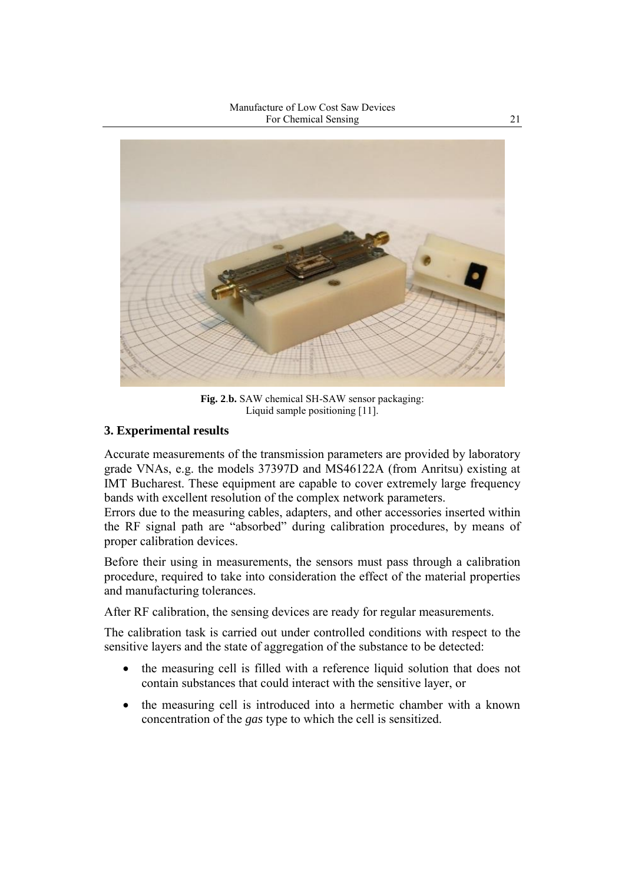Manufacture of Low Cost Saw Devices For Chemical Sensing 21



**Fig. 2**.**b.** SAW chemical SH-SAW sensor packaging: Liquid sample positioning [11].

# **3. Experimental results**

Accurate measurements of the transmission parameters are provided by laboratory grade VNAs, e.g. the models 37397D and MS46122A (from Anritsu) existing at IMT Bucharest. These equipment are capable to cover extremely large frequency bands with excellent resolution of the complex network parameters.

Errors due to the measuring cables, adapters, and other accessories inserted within the RF signal path are "absorbed" during calibration procedures, by means of proper calibration devices.

Before their using in measurements, the sensors must pass through a calibration procedure, required to take into consideration the effect of the material properties and manufacturing tolerances.

After RF calibration, the sensing devices are ready for regular measurements.

The calibration task is carried out under controlled conditions with respect to the sensitive layers and the state of aggregation of the substance to be detected:

- the measuring cell is filled with a reference liquid solution that does not contain substances that could interact with the sensitive layer, or
- the measuring cell is introduced into a hermetic chamber with a known concentration of the *gas* type to which the cell is sensitized.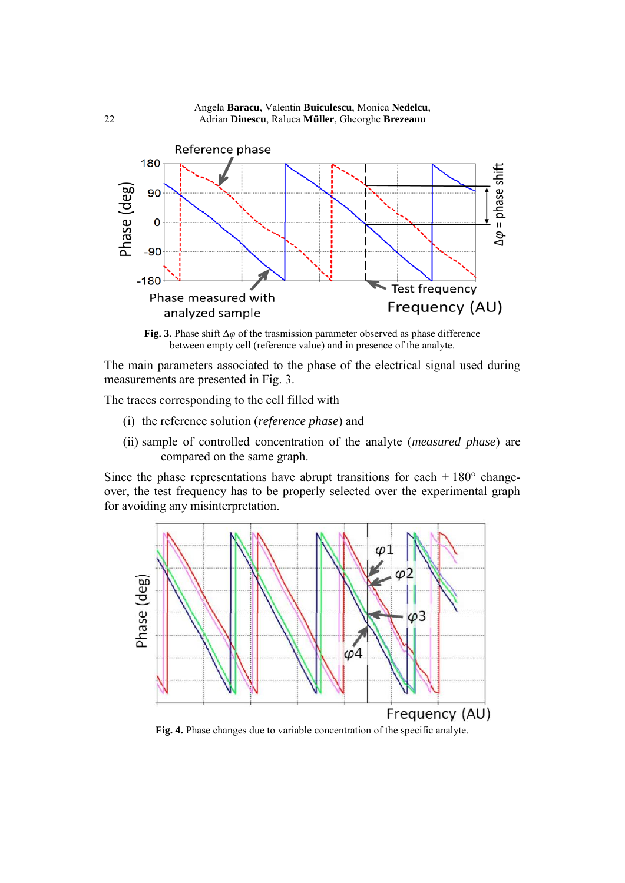

**Fig. 3.** Phase shift Δ*φ* of the trasmission parameter observed as phase difference between empty cell (reference value) and in presence of the analyte.

The main parameters associated to the phase of the electrical signal used during measurements are presented in Fig. 3.

The traces corresponding to the cell filled with

- (i) the reference solution (*reference phase*) and
- (ii) sample of controlled concentration of the analyte (*measured phase*) are compared on the same graph.

Since the phase representations have abrupt transitions for each  $\pm 180^{\circ}$  changeover, the test frequency has to be properly selected over the experimental graph for avoiding any misinterpretation.



**Fig. 4.** Phase changes due to variable concentration of the specific analyte.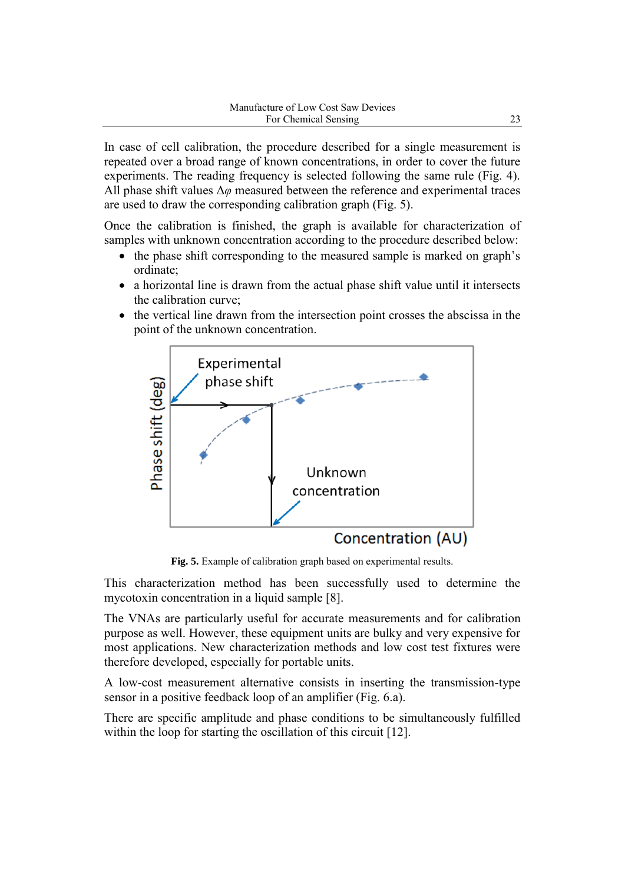In case of cell calibration, the procedure described for a single measurement is repeated over a broad range of known concentrations, in order to cover the future experiments. The reading frequency is selected following the same rule (Fig. 4). All phase shift values Δ*φ* measured between the reference and experimental traces are used to draw the corresponding calibration graph (Fig. 5).

Once the calibration is finished, the graph is available for characterization of samples with unknown concentration according to the procedure described below:

- the phase shift corresponding to the measured sample is marked on graph's ordinate;
- a horizontal line is drawn from the actual phase shift value until it intersects the calibration curve;
- the vertical line drawn from the intersection point crosses the abscissa in the point of the unknown concentration.



**Fig. 5.** Example of calibration graph based on experimental results.

This characterization method has been successfully used to determine the mycotoxin concentration in a liquid sample [8].

The VNAs are particularly useful for accurate measurements and for calibration purpose as well. However, these equipment units are bulky and very expensive for most applications. New characterization methods and low cost test fixtures were therefore developed, especially for portable units.

A low-cost measurement alternative consists in inserting the transmission-type sensor in a positive feedback loop of an amplifier (Fig. 6.a).

There are specific amplitude and phase conditions to be simultaneously fulfilled within the loop for starting the oscillation of this circuit [12].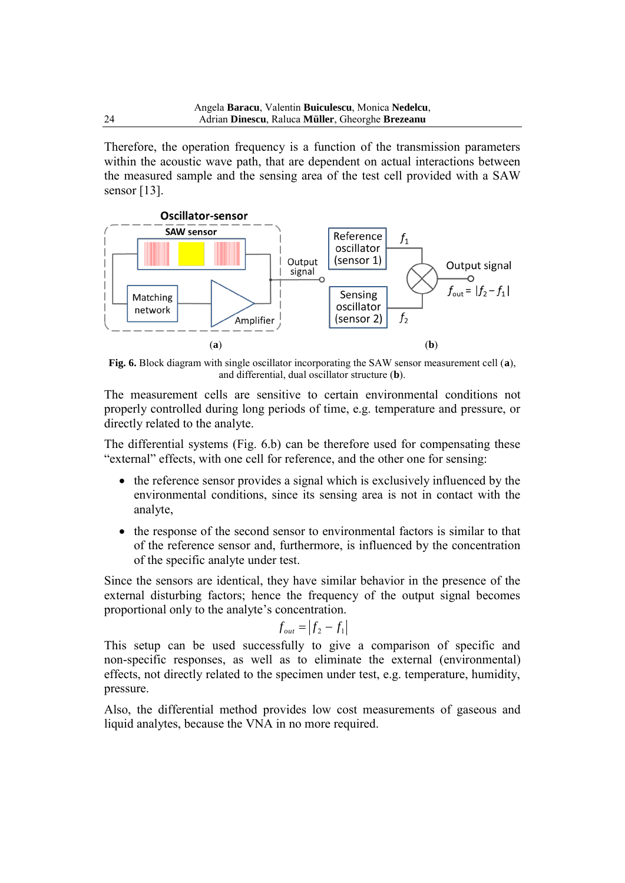Therefore, the operation frequency is a function of the transmission parameters within the acoustic wave path, that are dependent on actual interactions between the measured sample and the sensing area of the test cell provided with a SAW sensor [13].



**Fig. 6.** Block diagram with single oscillator incorporating the SAW sensor measurement cell (**a**), and differential, dual oscillator structure (**b**).

The measurement cells are sensitive to certain environmental conditions not properly controlled during long periods of time, e.g. temperature and pressure, or directly related to the analyte.

The differential systems (Fig. 6.b) can be therefore used for compensating these "external" effects, with one cell for reference, and the other one for sensing:

- the reference sensor provides a signal which is exclusively influenced by the environmental conditions, since its sensing area is not in contact with the analyte,
- the response of the second sensor to environmental factors is similar to that of the reference sensor and, furthermore, is influenced by the concentration of the specific analyte under test.

Since the sensors are identical, they have similar behavior in the presence of the external disturbing factors; hence the frequency of the output signal becomes proportional only to the analyte's concentration.

$$
f_{out} = \left| f_2 - f_1 \right|
$$

This setup can be used successfully to give a comparison of specific and non-specific responses, as well as to eliminate the external (environmental) effects, not directly related to the specimen under test, e.g. temperature, humidity, pressure.

Also, the differential method provides low cost measurements of gaseous and liquid analytes, because the VNA in no more required.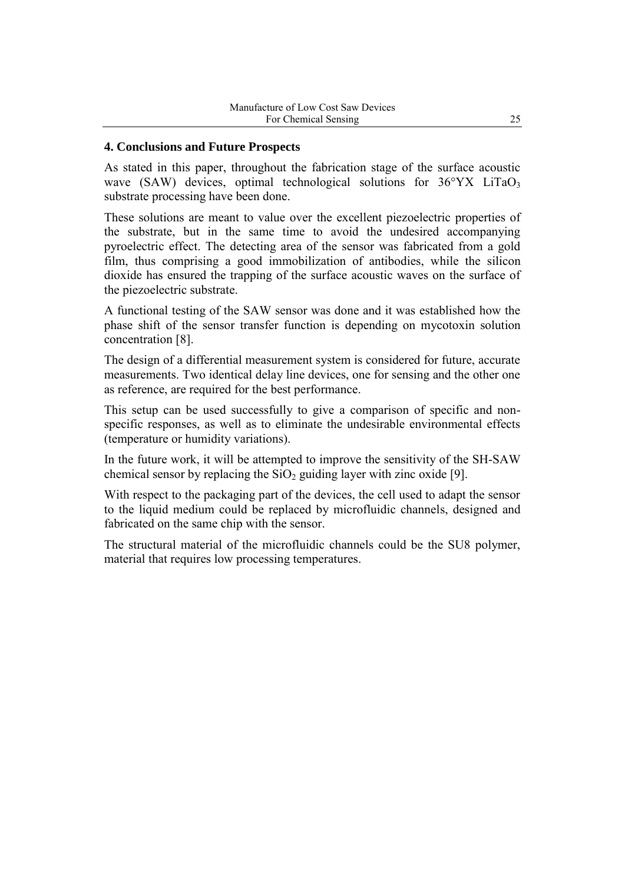#### **4. Conclusions and Future Prospects**

As stated in this paper, throughout the fabrication stage of the surface acoustic wave (SAW) devices, optimal technological solutions for  $36^{\circ}$ YX LiTaO<sub>3</sub> substrate processing have been done.

These solutions are meant to value over the excellent piezoelectric properties of the substrate, but in the same time to avoid the undesired accompanying pyroelectric effect. The detecting area of the sensor was fabricated from a gold film, thus comprising a good immobilization of antibodies, while the silicon dioxide has ensured the trapping of the surface acoustic waves on the surface of the piezoelectric substrate.

A functional testing of the SAW sensor was done and it was established how the phase shift of the sensor transfer function is depending on mycotoxin solution concentration [8].

The design of a differential measurement system is considered for future, accurate measurements. Two identical delay line devices, one for sensing and the other one as reference, are required for the best performance.

This setup can be used successfully to give a comparison of specific and nonspecific responses, as well as to eliminate the undesirable environmental effects (temperature or humidity variations).

In the future work, it will be attempted to improve the sensitivity of the SH-SAW chemical sensor by replacing the  $SiO<sub>2</sub>$  guiding layer with zinc oxide [9].

With respect to the packaging part of the devices, the cell used to adapt the sensor to the liquid medium could be replaced by microfluidic channels, designed and fabricated on the same chip with the sensor.

The structural material of the microfluidic channels could be the SU8 polymer, material that requires low processing temperatures.